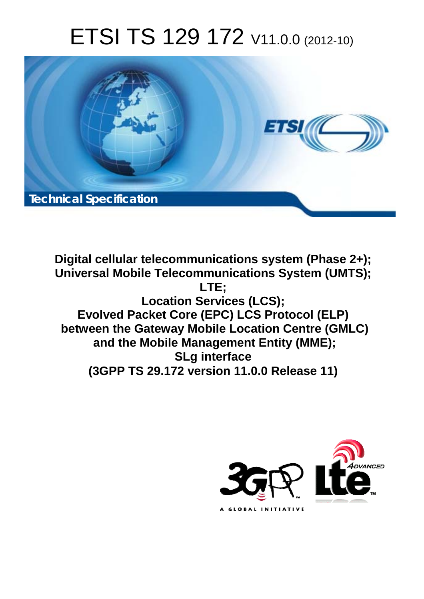# ETSI TS 129 172 V11.0.0 (2012-10)



**Digital cellular telecommunications system (Phase 2+); Universal Mobile Telecommunications System (UMTS); LTE; Location Services (LCS); Evolved Packet Core (EPC) LCS Protocol (ELP) between the Gateway Mobile Location Centre (GMLC) and the Mobile Management Entity (MME); SLg interface (3GPP TS 29.172 version 11.0.0 Release 11)** 

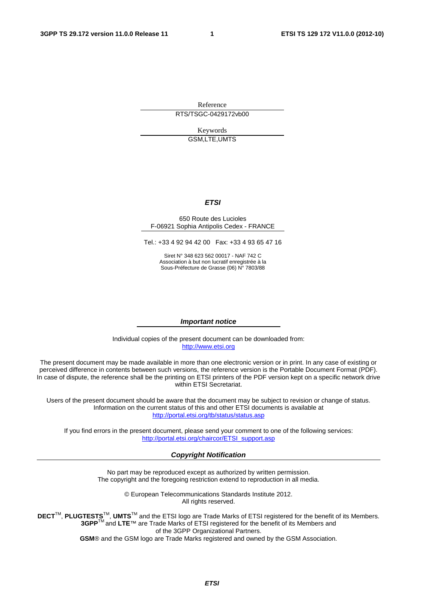Reference RTS/TSGC-0429172vb00

> Keywords GSM,LTE,UMTS

#### *ETSI*

#### 650 Route des Lucioles F-06921 Sophia Antipolis Cedex - FRANCE

Tel.: +33 4 92 94 42 00 Fax: +33 4 93 65 47 16

Siret N° 348 623 562 00017 - NAF 742 C Association à but non lucratif enregistrée à la Sous-Préfecture de Grasse (06) N° 7803/88

#### *Important notice*

Individual copies of the present document can be downloaded from: [http://www.etsi.org](http://www.etsi.org/)

The present document may be made available in more than one electronic version or in print. In any case of existing or perceived difference in contents between such versions, the reference version is the Portable Document Format (PDF). In case of dispute, the reference shall be the printing on ETSI printers of the PDF version kept on a specific network drive within ETSI Secretariat.

Users of the present document should be aware that the document may be subject to revision or change of status. Information on the current status of this and other ETSI documents is available at <http://portal.etsi.org/tb/status/status.asp>

If you find errors in the present document, please send your comment to one of the following services: [http://portal.etsi.org/chaircor/ETSI\\_support.asp](http://portal.etsi.org/chaircor/ETSI_support.asp)

#### *Copyright Notification*

No part may be reproduced except as authorized by written permission. The copyright and the foregoing restriction extend to reproduction in all media.

> © European Telecommunications Standards Institute 2012. All rights reserved.

DECT<sup>™</sup>, PLUGTESTS<sup>™</sup>, UMTS<sup>™</sup> and the ETSI logo are Trade Marks of ETSI registered for the benefit of its Members. **3GPP**TM and **LTE**™ are Trade Marks of ETSI registered for the benefit of its Members and of the 3GPP Organizational Partners.

**GSM**® and the GSM logo are Trade Marks registered and owned by the GSM Association.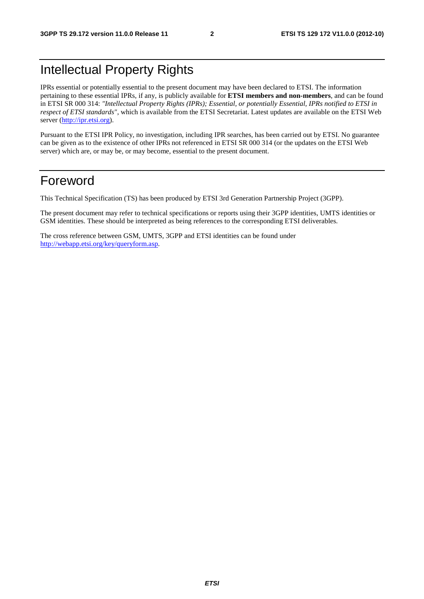### Intellectual Property Rights

IPRs essential or potentially essential to the present document may have been declared to ETSI. The information pertaining to these essential IPRs, if any, is publicly available for **ETSI members and non-members**, and can be found in ETSI SR 000 314: *"Intellectual Property Rights (IPRs); Essential, or potentially Essential, IPRs notified to ETSI in respect of ETSI standards"*, which is available from the ETSI Secretariat. Latest updates are available on the ETSI Web server [\(http://ipr.etsi.org](http://webapp.etsi.org/IPR/home.asp)).

Pursuant to the ETSI IPR Policy, no investigation, including IPR searches, has been carried out by ETSI. No guarantee can be given as to the existence of other IPRs not referenced in ETSI SR 000 314 (or the updates on the ETSI Web server) which are, or may be, or may become, essential to the present document.

### Foreword

This Technical Specification (TS) has been produced by ETSI 3rd Generation Partnership Project (3GPP).

The present document may refer to technical specifications or reports using their 3GPP identities, UMTS identities or GSM identities. These should be interpreted as being references to the corresponding ETSI deliverables.

The cross reference between GSM, UMTS, 3GPP and ETSI identities can be found under [http://webapp.etsi.org/key/queryform.asp.](http://webapp.etsi.org/key/queryform.asp)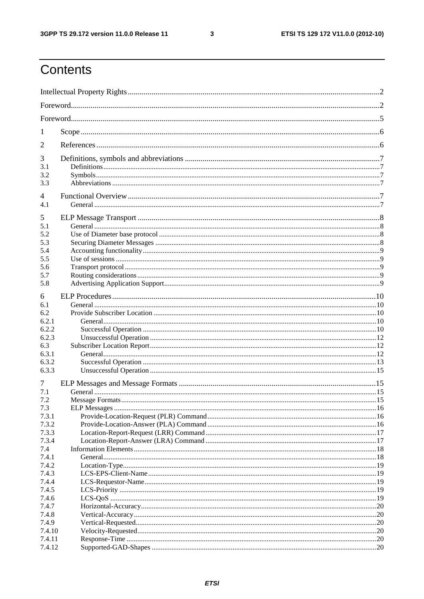$\mathbf{3}$ 

### Contents

| 1              |  |
|----------------|--|
| $\overline{2}$ |  |
| 3              |  |
| 3.1            |  |
| 3.2            |  |
| 3.3            |  |
| 4              |  |
| 4.1            |  |
| 5              |  |
| 5.1            |  |
| 5.2            |  |
| 5.3            |  |
| 5.4            |  |
| 5.5            |  |
| 5.6<br>5.7     |  |
| 5.8            |  |
|                |  |
| 6              |  |
| 6.1            |  |
| 6.2            |  |
| 6.2.1          |  |
| 6.2.2          |  |
| 6.2.3          |  |
| 6.3            |  |
| 6.3.1<br>6.3.2 |  |
| 6.3.3          |  |
|                |  |
| 7              |  |
| 7.1            |  |
| 7.2            |  |
| 7.3            |  |
| 7.3.1          |  |
| 7.3.2<br>7.3.3 |  |
| 7.3.4          |  |
| 7.4            |  |
| 7.4.1          |  |
| 7.4.2          |  |
| 7.4.3          |  |
| 7.4.4          |  |
| 7.4.5          |  |
| 7.4.6          |  |
| 7.4.7          |  |
| 7.4.8          |  |
| 7.4.9          |  |
| 7.4.10         |  |
| 7.4.11         |  |
| 7.4.12         |  |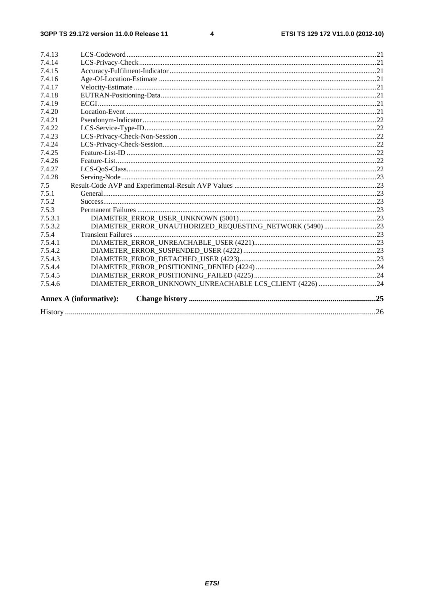#### $\overline{\mathbf{4}}$

|                  |                                                          | .26 |
|------------------|----------------------------------------------------------|-----|
|                  | <b>Annex A (informative):</b>                            |     |
| 7.5.4.6          | DIAMETER_ERROR_UNKNOWN_UNREACHABLE LCS_CLIENT (4226) 24  |     |
| 7.5.4.5          |                                                          |     |
| 7.5.4.4          |                                                          |     |
| 7.5.4.3          |                                                          |     |
| 7.5.4.2          |                                                          |     |
| 7.5.4.1          |                                                          |     |
| 7.5.4            |                                                          |     |
| 7.5.3.2          | DIAMETER_ERROR_UNAUTHORIZED_REQUESTING_NETWORK (5490) 23 |     |
| 7.5.3.1          |                                                          |     |
| 7.5.3            |                                                          |     |
| 7.5.2            |                                                          |     |
| 7.5.1            |                                                          |     |
| 7.5              |                                                          |     |
| 7.4.28           |                                                          |     |
| 7.4.27           |                                                          |     |
| 7.4.26           |                                                          |     |
| 7.4.25           |                                                          |     |
| 7.4.24           |                                                          |     |
| 7.4.23           |                                                          |     |
| 7.4.22           |                                                          |     |
| 7.4.21           |                                                          |     |
| 7.4.20           |                                                          |     |
| 7.4.18<br>7.4.19 |                                                          |     |
| 7.4.17           |                                                          |     |
| 7.4.16           |                                                          |     |
| 7.4.15           |                                                          |     |
| 7.4.14           |                                                          |     |
| 7.4.13           |                                                          |     |
|                  |                                                          |     |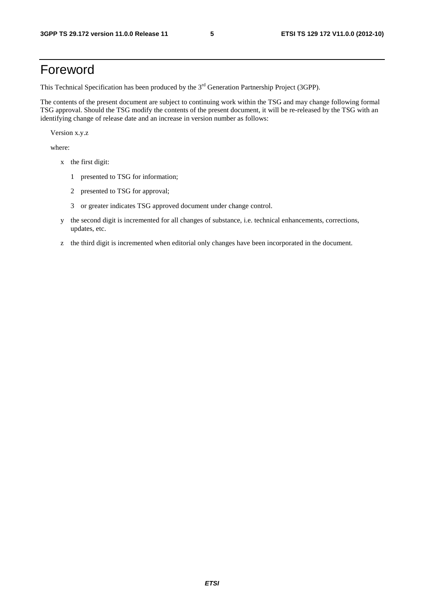### Foreword

This Technical Specification has been produced by the 3<sup>rd</sup> Generation Partnership Project (3GPP).

The contents of the present document are subject to continuing work within the TSG and may change following formal TSG approval. Should the TSG modify the contents of the present document, it will be re-released by the TSG with an identifying change of release date and an increase in version number as follows:

Version x.y.z

where:

- x the first digit:
	- 1 presented to TSG for information;
	- 2 presented to TSG for approval;
	- 3 or greater indicates TSG approved document under change control.
- y the second digit is incremented for all changes of substance, i.e. technical enhancements, corrections, updates, etc.
- z the third digit is incremented when editorial only changes have been incorporated in the document.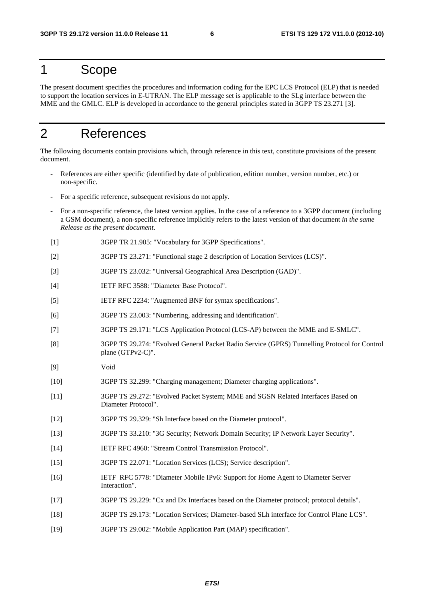### 1 Scope

The present document specifies the procedures and information coding for the EPC LCS Protocol (ELP) that is needed to support the location services in E-UTRAN. The ELP message set is applicable to the SLg interface between the MME and the GMLC. ELP is developed in accordance to the general principles stated in 3GPP TS 23.271 [3].

### 2 References

The following documents contain provisions which, through reference in this text, constitute provisions of the present document.

- References are either specific (identified by date of publication, edition number, version number, etc.) or non-specific.
- For a specific reference, subsequent revisions do not apply.
- For a non-specific reference, the latest version applies. In the case of a reference to a 3GPP document (including a GSM document), a non-specific reference implicitly refers to the latest version of that document *in the same Release as the present document*.
- [1] 3GPP TR 21.905: "Vocabulary for 3GPP Specifications".
- [2] 3GPP TS 23.271: "Functional stage 2 description of Location Services (LCS)".
- [3] 3GPP TS 23.032: "Universal Geographical Area Description (GAD)".
- [4] IETF RFC 3588: "Diameter Base Protocol".
- [5] IETF RFC 2234: "Augmented BNF for syntax specifications".
- [6] 3GPP TS 23.003: "Numbering, addressing and identification".
- [7] 3GPP TS 29.171: "LCS Application Protocol (LCS-AP) between the MME and E-SMLC".
- [8] 3GPP TS 29.274: "Evolved General Packet Radio Service (GPRS) Tunnelling Protocol for Control plane (GTPv2-C)".
- [9] Void
- [10] 3GPP TS 32.299: "Charging management; Diameter charging applications".
- [11] 3GPP TS 29.272: "Evolved Packet System; MME and SGSN Related Interfaces Based on Diameter Protocol".
- [12] 3GPP TS 29.329: "Sh Interface based on the Diameter protocol".
- [13] 3GPP TS 33.210: "3G Security; Network Domain Security; IP Network Layer Security".
- [14] IETF RFC 4960: "Stream Control Transmission Protocol".
- [15] 3GPP TS 22.071: "Location Services (LCS); Service description".
- [16] IETF RFC 5778: "Diameter Mobile IPv6: Support for Home Agent to Diameter Server Interaction".
- [17] 3GPP TS 29.229: "Cx and Dx Interfaces based on the Diameter protocol; protocol details".
- [18] 3GPP TS 29.173: "Location Services; Diameter-based SLh interface for Control Plane LCS".
- [19] 3GPP TS 29.002: "Mobile Application Part (MAP) specification".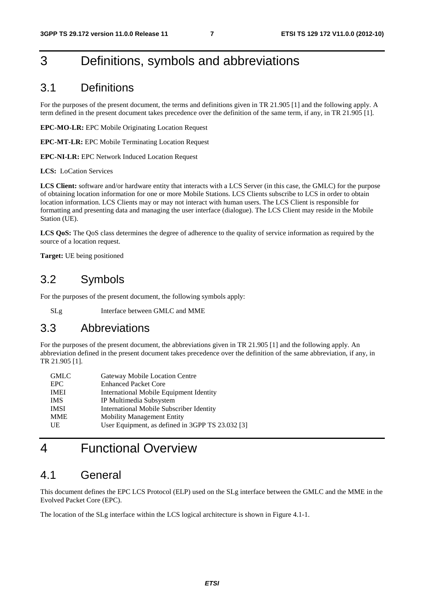### 3 Definitions, symbols and abbreviations

#### 3.1 Definitions

For the purposes of the present document, the terms and definitions given in TR 21.905 [1] and the following apply. A term defined in the present document takes precedence over the definition of the same term, if any, in TR 21.905 [1].

**EPC-MO-LR:** EPC Mobile Originating Location Request

**EPC-MT-LR:** EPC Mobile Terminating Location Request

**EPC-NI-LR:** EPC Network Induced Location Request

**LCS:** LoCation Services

**LCS Client:** software and/or hardware entity that interacts with a LCS Server (in this case, the GMLC) for the purpose of obtaining location information for one or more Mobile Stations. LCS Clients subscribe to LCS in order to obtain location information. LCS Clients may or may not interact with human users. The LCS Client is responsible for formatting and presenting data and managing the user interface (dialogue). The LCS Client may reside in the Mobile Station (UE).

**LCS QoS:** The QoS class determines the degree of adherence to the quality of service information as required by the source of a location request.

**Target:** UE being positioned

#### 3.2 Symbols

For the purposes of the present document, the following symbols apply:

SLg Interface between GMLC and MME

#### 3.3 Abbreviations

For the purposes of the present document, the abbreviations given in TR 21.905 [1] and the following apply. An abbreviation defined in the present document takes precedence over the definition of the same abbreviation, if any, in TR 21.905 [1].

| <b>GMLC</b> | Gateway Mobile Location Centre                   |
|-------------|--------------------------------------------------|
| EPC.        | <b>Enhanced Packet Core</b>                      |
| <b>IMEI</b> | International Mobile Equipment Identity          |
| <b>IMS</b>  | IP Multimedia Subsystem                          |
| <b>IMSI</b> | <b>International Mobile Subscriber Identity</b>  |
| <b>MME</b>  | <b>Mobility Management Entity</b>                |
| UE          | User Equipment, as defined in 3GPP TS 23.032 [3] |
|             |                                                  |

### 4 Functional Overview

#### 4.1 General

This document defines the EPC LCS Protocol (ELP) used on the SLg interface between the GMLC and the MME in the Evolved Packet Core (EPC).

The location of the SLg interface within the LCS logical architecture is shown in Figure 4.1-1.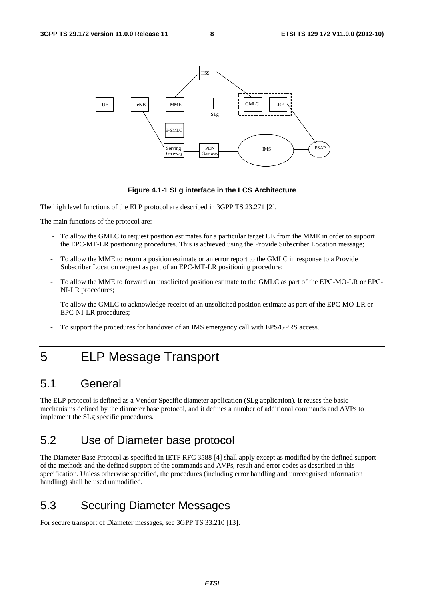

#### **Figure 4.1-1 SLg interface in the LCS Architecture**

The high level functions of the ELP protocol are described in 3GPP TS 23.271 [2].

The main functions of the protocol are:

- To allow the GMLC to request position estimates for a particular target UE from the MME in order to support the EPC-MT-LR positioning procedures. This is achieved using the Provide Subscriber Location message;
- To allow the MME to return a position estimate or an error report to the GMLC in response to a Provide Subscriber Location request as part of an EPC-MT-LR positioning procedure;
- To allow the MME to forward an unsolicited position estimate to the GMLC as part of the EPC-MO-LR or EPC-NI-LR procedures;
- To allow the GMLC to acknowledge receipt of an unsolicited position estimate as part of the EPC-MO-LR or EPC-NI-LR procedures;
- To support the procedures for handover of an IMS emergency call with EPS/GPRS access.

### 5 ELP Message Transport

#### 5.1 General

The ELP protocol is defined as a Vendor Specific diameter application (SLg application). It reuses the basic mechanisms defined by the diameter base protocol, and it defines a number of additional commands and AVPs to implement the SLg specific procedures.

### 5.2 Use of Diameter base protocol

The Diameter Base Protocol as specified in IETF RFC 3588 [4] shall apply except as modified by the defined support of the methods and the defined support of the commands and AVPs, result and error codes as described in this specification. Unless otherwise specified, the procedures (including error handling and unrecognised information handling) shall be used unmodified.

#### 5.3 Securing Diameter Messages

For secure transport of Diameter messages, see 3GPP TS 33.210 [13].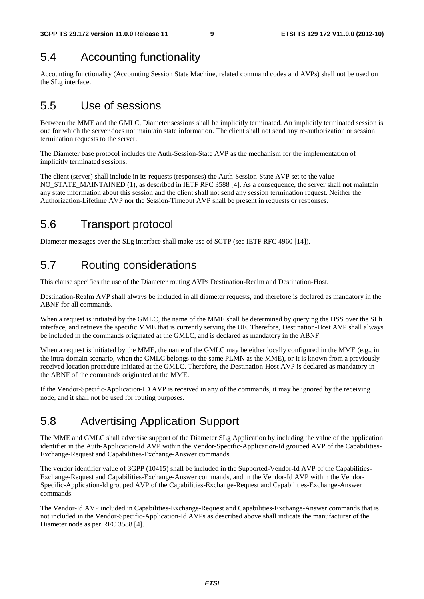### 5.4 Accounting functionality

Accounting functionality (Accounting Session State Machine, related command codes and AVPs) shall not be used on the SLg interface.

### 5.5 Use of sessions

Between the MME and the GMLC, Diameter sessions shall be implicitly terminated. An implicitly terminated session is one for which the server does not maintain state information. The client shall not send any re-authorization or session termination requests to the server.

The Diameter base protocol includes the Auth-Session-State AVP as the mechanism for the implementation of implicitly terminated sessions.

The client (server) shall include in its requests (responses) the Auth-Session-State AVP set to the value NO\_STATE\_MAINTAINED (1), as described in IETF RFC 3588 [4]. As a consequence, the server shall not maintain any state information about this session and the client shall not send any session termination request. Neither the Authorization-Lifetime AVP nor the Session-Timeout AVP shall be present in requests or responses.

### 5.6 Transport protocol

Diameter messages over the SLg interface shall make use of SCTP (see IETF RFC 4960 [14]).

### 5.7 Routing considerations

This clause specifies the use of the Diameter routing AVPs Destination-Realm and Destination-Host.

Destination-Realm AVP shall always be included in all diameter requests, and therefore is declared as mandatory in the ABNF for all commands.

When a request is initiated by the GMLC, the name of the MME shall be determined by querying the HSS over the SLh interface, and retrieve the specific MME that is currently serving the UE. Therefore, Destination-Host AVP shall always be included in the commands originated at the GMLC, and is declared as mandatory in the ABNF.

When a request is initiated by the MME, the name of the GMLC may be either locally configured in the MME (e.g., in the intra-domain scenario, when the GMLC belongs to the same PLMN as the MME), or it is known from a previously received location procedure initiated at the GMLC. Therefore, the Destination-Host AVP is declared as mandatory in the ABNF of the commands originated at the MME.

If the Vendor-Specific-Application-ID AVP is received in any of the commands, it may be ignored by the receiving node, and it shall not be used for routing purposes.

### 5.8 Advertising Application Support

The MME and GMLC shall advertise support of the Diameter SLg Application by including the value of the application identifier in the Auth-Application-Id AVP within the Vendor-Specific-Application-Id grouped AVP of the Capabilities-Exchange-Request and Capabilities-Exchange-Answer commands.

The vendor identifier value of 3GPP (10415) shall be included in the Supported-Vendor-Id AVP of the Capabilities-Exchange-Request and Capabilities-Exchange-Answer commands, and in the Vendor-Id AVP within the Vendor-Specific-Application-Id grouped AVP of the Capabilities-Exchange-Request and Capabilities-Exchange-Answer commands.

The Vendor-Id AVP included in Capabilities-Exchange-Request and Capabilities-Exchange-Answer commands that is not included in the Vendor-Specific-Application-Id AVPs as described above shall indicate the manufacturer of the Diameter node as per RFC 3588 [4].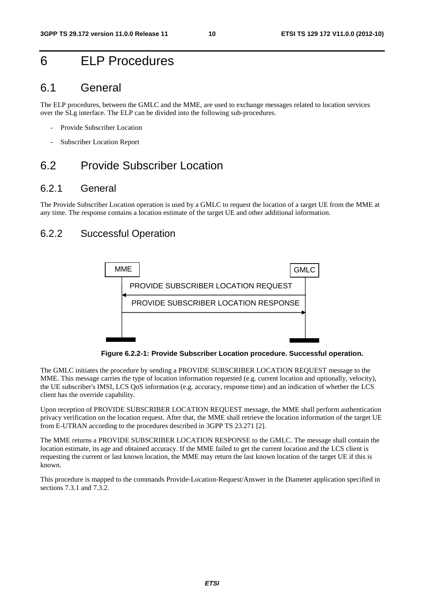### 6 ELP Procedures

#### 6.1 General

The ELP procedures, between the GMLC and the MME, are used to exchange messages related to location services over the SLg interface. The ELP can be divided into the following sub-procedures.

- Provide Subscriber Location
- Subscriber Location Report

### 6.2 Provide Subscriber Location

#### 6.2.1 General

The Provide Subscriber Location operation is used by a GMLC to request the location of a target UE from the MME at any time. The response contains a location estimate of the target UE and other additional information.

#### 6.2.2 Successful Operation



**Figure 6.2.2-1: Provide Subscriber Location procedure. Successful operation.** 

The GMLC initiates the procedure by sending a PROVIDE SUBSCRIBER LOCATION REQUEST message to the MME. This message carries the type of location information requested (e.g. current location and optionally, velocity), the UE subscriber's IMSI, LCS QoS information (e.g. accuracy, response time) and an indication of whether the LCS client has the override capability.

Upon reception of PROVIDE SUBSCRIBER LOCATION REQUEST message, the MME shall perform authentication privacy verification on the location request. After that, the MME shall retrieve the location information of the target UE from E-UTRAN according to the procedures described in 3GPP TS 23.271 [2].

The MME returns a PROVIDE SUBSCRIBER LOCATION RESPONSE to the GMLC. The message shall contain the location estimate, its age and obtained accuracy. If the MME failed to get the current location and the LCS client is requesting the current or last known location, the MME may return the last known location of the target UE if this is known.

This procedure is mapped to the commands Provide-Location-Request/Answer in the Diameter application specified in sections 7.3.1 and 7.3.2.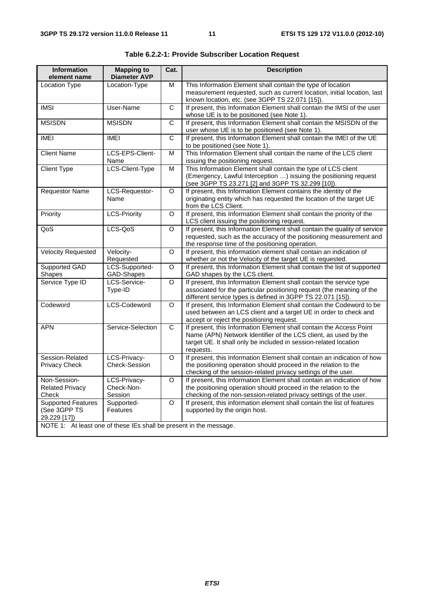| <b>Information</b><br>element name                                 | <b>Mapping to</b><br><b>Diameter AVP</b> | Cat.         | <b>Description</b>                                                                                                                                                                                                      |  |  |  |
|--------------------------------------------------------------------|------------------------------------------|--------------|-------------------------------------------------------------------------------------------------------------------------------------------------------------------------------------------------------------------------|--|--|--|
| <b>Location Type</b>                                               | Location-Type                            | M            | This Information Element shall contain the type of location<br>measurement requested, such as current location, initial location, last<br>known location, etc. (see 3GPP TS 22.071 [15]).                               |  |  |  |
| <b>IMSI</b>                                                        | User-Name                                | $\mathsf{C}$ | If present, this Information Element shall contain the IMSI of the user<br>whose UE is to be positioned (see Note 1).                                                                                                   |  |  |  |
| <b>MSISDN</b>                                                      | <b>MSISDN</b>                            | C            | If present, this Information Element shall contain the MSISDN of the<br>user whose UE is to be positioned (see Note 1).                                                                                                 |  |  |  |
| <b>IMEI</b>                                                        | <b>IMEI</b>                              | $\mathsf{C}$ | If present, this Information Element shall contain the IMEI of the UE<br>to be positioned (see Note 1).                                                                                                                 |  |  |  |
| <b>Client Name</b>                                                 | LCS-EPS-Client-<br>Name                  | м            | This Information Element shall contain the name of the LCS client<br>issuing the positioning request.                                                                                                                   |  |  |  |
| <b>Client Type</b>                                                 | LCS-Client-Type                          | M            | This Information Element shall contain the type of LCS client<br>(Emergency, Lawful Interception ) issuing the positioning request<br>(see 3GPP TS 23.271 [2] and 3GPP TS 32.299 [10]).                                 |  |  |  |
| <b>Requestor Name</b>                                              | LCS-Requestor-<br>Name                   | O            | If present, this Information Element contains the identity of the<br>originating entity which has requested the location of the target UE<br>from the LCS Client.                                                       |  |  |  |
| Priority                                                           | <b>LCS-Priority</b>                      | O            | If present, this Information Element shall contain the priority of the<br>LCS client issuing the positioning request.                                                                                                   |  |  |  |
| QoS                                                                | LCS-QoS                                  | $\circ$      | If present, this Information Element shall contain the quality of service<br>requested, such as the accuracy of the positioning measurement and<br>the response time of the positioning operation.                      |  |  |  |
| <b>Velocity Requested</b>                                          | Velocity-<br>Requested                   | O            | If present, this information element shall contain an indication of<br>whether or not the Velocity of the target UE is requested.                                                                                       |  |  |  |
| Supported GAD<br>Shapes                                            | LCS-Supported-<br>GAD-Shapes             | $\circ$      | If present, this Information Element shall contain the list of supported<br>GAD shapes by the LCS client.                                                                                                               |  |  |  |
| Service Type ID                                                    | LCS-Service-<br>Type-ID                  | $\circ$      | If present, this Information Element shall contain the service type<br>associated for the particular positioning request (the meaning of the<br>different service types is defined in 3GPP TS 22.071 [15]).             |  |  |  |
| Codeword                                                           | LCS-Codeword                             | O            | If present, this Information Element shall contain the Codeword to be<br>used between an LCS client and a target UE in order to check and<br>accept or reject the positioning request.                                  |  |  |  |
| <b>APN</b>                                                         | Service-Selection                        | C            | If present, this Information Element shall contain the Access Point<br>Name (APN) Network Identifier of the LCS client, as used by the<br>target UE. It shall only be included in session-related location<br>requests. |  |  |  |
| Session-Related<br>Privacy Check                                   | LCS-Privacy-<br>Check-Session            | O            | If present, this Information Element shall contain an indication of how<br>the positioning operation should proceed in the relation to the<br>checking of the session-related privacy settings of the user.             |  |  |  |
| Non-Session-<br><b>Related Privacy</b><br>Check                    | LCS-Privacy-<br>Check-Non-<br>Session    | O            | If present, this Information Element shall contain an indication of how<br>the positioning operation should proceed in the relation to the<br>checking of the non-session-related privacy settings of the user.         |  |  |  |
| <b>Supported Features</b><br>(See 3GPP TS<br>29.229 [17])          | Supported-<br>Features                   | $\circ$      | If present, this information element shall contain the list of features<br>supported by the origin host.                                                                                                                |  |  |  |
| NOTE 1: At least one of these IEs shall be present in the message. |                                          |              |                                                                                                                                                                                                                         |  |  |  |

**Table 6.2.2-1: Provide Subscriber Location Request**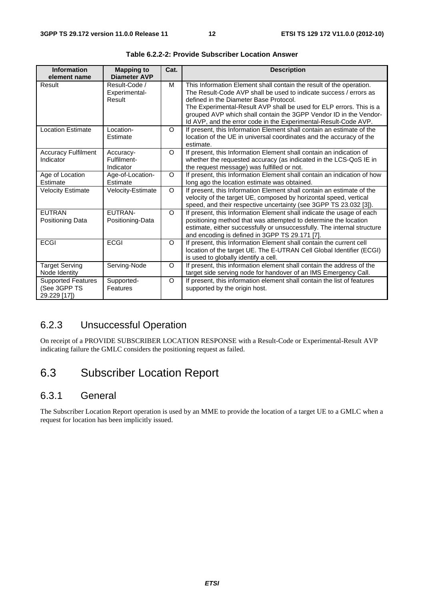| <b>Information</b><br>element name                        | <b>Mapping to</b><br><b>Diameter AVP</b> | Cat.     | <b>Description</b>                                                                                                                                                                                                                                                                                                                                                                                |
|-----------------------------------------------------------|------------------------------------------|----------|---------------------------------------------------------------------------------------------------------------------------------------------------------------------------------------------------------------------------------------------------------------------------------------------------------------------------------------------------------------------------------------------------|
| Result                                                    | Result-Code /<br>Experimental-<br>Result | м        | This Information Element shall contain the result of the operation.<br>The Result-Code AVP shall be used to indicate success / errors as<br>defined in the Diameter Base Protocol.<br>The Experimental-Result AVP shall be used for ELP errors. This is a<br>grouped AVP which shall contain the 3GPP Vendor ID in the Vendor-<br>Id AVP, and the error code in the Experimental-Result-Code AVP. |
| <b>Location Estimate</b>                                  | Location-<br>Estimate                    | $\circ$  | If present, this Information Element shall contain an estimate of the<br>location of the UE in universal coordinates and the accuracy of the<br>estimate.                                                                                                                                                                                                                                         |
| <b>Accuracy Fulfilment</b><br>Indicator                   | Accuracy-<br>Fulfilment-<br>Indicator    | $\circ$  | If present, this Information Element shall contain an indication of<br>whether the requested accuracy (as indicated in the LCS-QoS IE in<br>the request message) was fulfilled or not.                                                                                                                                                                                                            |
| Age of Location<br>Estimate                               | Age-of-Location-<br>Estimate             | $\circ$  | If present, this Information Element shall contain an indication of how<br>long ago the location estimate was obtained.                                                                                                                                                                                                                                                                           |
| <b>Velocity Estimate</b>                                  | Velocity-Estimate                        | $\circ$  | If present, this Information Element shall contain an estimate of the<br>velocity of the target UE, composed by horizontal speed, vertical<br>speed, and their respective uncertainty (see 3GPP TS 23.032 [3]).                                                                                                                                                                                   |
| <b>EUTRAN</b><br>Positioning Data                         | EUTRAN-<br>Positioning-Data              | $\Omega$ | If present, this Information Element shall indicate the usage of each<br>positioning method that was attempted to determine the location<br>estimate, either successfully or unsuccessfully. The internal structure<br>and encoding is defined in 3GPP TS 29.171 [7].                                                                                                                             |
| <b>ECGI</b>                                               | <b>ECGI</b>                              | $\circ$  | If present, this Information Element shall contain the current cell<br>location of the target UE. The E-UTRAN Cell Global Identifier (ECGI)<br>is used to globally identify a cell.                                                                                                                                                                                                               |
| <b>Target Serving</b><br>Node Identity                    | Serving-Node                             | O        | If present, this information element shall contain the address of the<br>target side serving node for handover of an IMS Emergency Call.                                                                                                                                                                                                                                                          |
| <b>Supported Features</b><br>(See 3GPP TS<br>29.229 [17]) | Supported-<br>Features                   | $\circ$  | If present, this information element shall contain the list of features<br>supported by the origin host.                                                                                                                                                                                                                                                                                          |

**Table 6.2.2-2: Provide Subscriber Location Answer** 

### 6.2.3 Unsuccessful Operation

On receipt of a PROVIDE SUBSCRIBER LOCATION RESPONSE with a Result-Code or Experimental-Result AVP indicating failure the GMLC considers the positioning request as failed.

### 6.3 Subscriber Location Report

#### 6.3.1 General

The Subscriber Location Report operation is used by an MME to provide the location of a target UE to a GMLC when a request for location has been implicitly issued.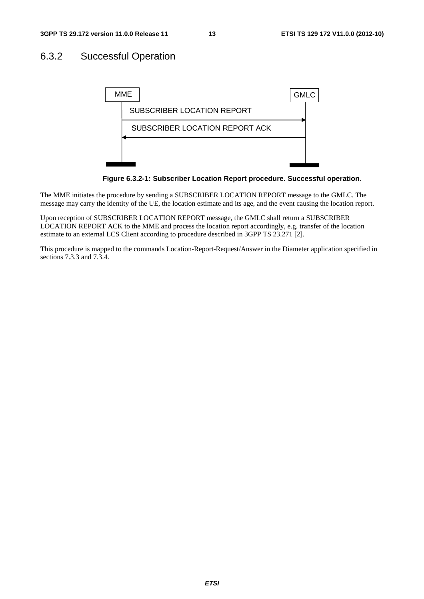#### 6.3.2 Successful Operation



**Figure 6.3.2-1: Subscriber Location Report procedure. Successful operation.** 

The MME initiates the procedure by sending a SUBSCRIBER LOCATION REPORT message to the GMLC. The message may carry the identity of the UE, the location estimate and its age, and the event causing the location report.

Upon reception of SUBSCRIBER LOCATION REPORT message, the GMLC shall return a SUBSCRIBER LOCATION REPORT ACK to the MME and process the location report accordingly, e.g. transfer of the location estimate to an external LCS Client according to procedure described in 3GPP TS 23.271 [2].

This procedure is mapped to the commands Location-Report-Request/Answer in the Diameter application specified in sections 7.3.3 and 7.3.4.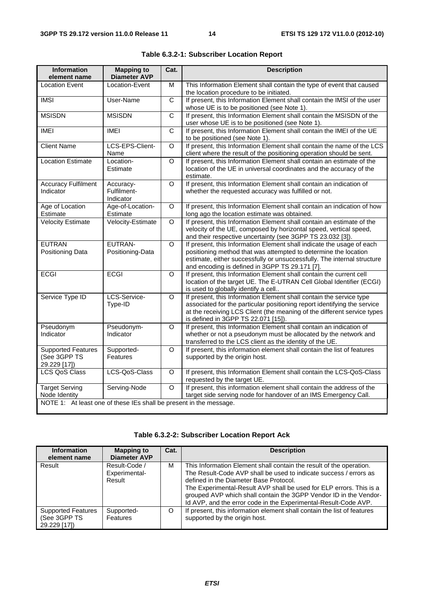| <b>Information</b><br>element name                                 | <b>Mapping to</b><br><b>Diameter AVP</b>                                                                                                                            | Cat.           | <b>Description</b>                                                                                                                                                                                                                                                    |  |  |  |
|--------------------------------------------------------------------|---------------------------------------------------------------------------------------------------------------------------------------------------------------------|----------------|-----------------------------------------------------------------------------------------------------------------------------------------------------------------------------------------------------------------------------------------------------------------------|--|--|--|
| <b>Location Event</b>                                              | Location-Event                                                                                                                                                      | M              | This Information Element shall contain the type of event that caused<br>the location procedure to be initiated.                                                                                                                                                       |  |  |  |
| <b>IMSI</b>                                                        | User-Name                                                                                                                                                           | $\mathsf{C}$   | If present, this Information Element shall contain the IMSI of the user<br>whose UE is to be positioned (see Note 1).                                                                                                                                                 |  |  |  |
| <b>MSISDN</b>                                                      | <b>MSISDN</b>                                                                                                                                                       | $\mathsf{C}$   | If present, this Information Element shall contain the MSISDN of the<br>user whose UE is to be positioned (see Note 1).                                                                                                                                               |  |  |  |
| <b>IMEI</b>                                                        | <b>IMEI</b>                                                                                                                                                         | $\overline{C}$ | If present, this Information Element shall contain the IMEI of the UE<br>to be positioned (see Note 1).                                                                                                                                                               |  |  |  |
| <b>Client Name</b>                                                 | LCS-EPS-Client-<br>Name                                                                                                                                             | $\Omega$       | If present, this Information Element shall contain the name of the LCS<br>client where the result of the positioning operation should be sent.                                                                                                                        |  |  |  |
| <b>Location Estimate</b>                                           | Location-<br>Estimate                                                                                                                                               | $\Omega$       | If present, this Information Element shall contain an estimate of the<br>location of the UE in universal coordinates and the accuracy of the<br>estimate.                                                                                                             |  |  |  |
| <b>Accuracy Fulfilment</b><br>Indicator                            | Accuracy-<br>Fulfilment-<br>Indicator                                                                                                                               | O              | If present, this Information Element shall contain an indication of<br>whether the requested accuracy was fulfilled or not.                                                                                                                                           |  |  |  |
| Age of Location<br>Estimate                                        | Age-of-Location-<br>Estimate                                                                                                                                        | O              | If present, this Information Element shall contain an indication of how<br>long ago the location estimate was obtained.                                                                                                                                               |  |  |  |
| <b>Velocity Estimate</b>                                           | Velocity-Estimate                                                                                                                                                   | O              | If present, this Information Element shall contain an estimate of the<br>velocity of the UE, composed by horizontal speed, vertical speed,<br>and their respective uncertainty (see 3GPP TS 23.032 [3]).                                                              |  |  |  |
| <b>EUTRAN</b><br>Positioning Data                                  | EUTRAN-<br>Positioning-Data                                                                                                                                         | $\Omega$       | If present, this Information Element shall indicate the usage of each<br>positioning method that was attempted to determine the location<br>estimate, either successfully or unsuccessfully. The internal structure<br>and encoding is defined in 3GPP TS 29.171 [7]. |  |  |  |
| <b>ECGI</b>                                                        | <b>ECGI</b>                                                                                                                                                         | $\Omega$       | If present, this Information Element shall contain the current cell<br>location of the target UE. The E-UTRAN Cell Global Identifier (ECGI)<br>is used to globally identify a cell                                                                                    |  |  |  |
| Service Type ID                                                    | LCS-Service-<br>Type-ID                                                                                                                                             | $\Omega$       | If present, this Information Element shall contain the service type<br>associated for the particular positioning report identifying the service<br>at the receiving LCS Client (the meaning of the different service types<br>is defined in 3GPP TS 22.071 [15]).     |  |  |  |
| Pseudonym<br>Indicator                                             | Pseudonym-<br>Indicator                                                                                                                                             | $\Omega$       | If present, this Information Element shall contain an indication of<br>whether or not a pseudonym must be allocated by the network and<br>transferred to the LCS client as the identity of the UE.                                                                    |  |  |  |
| <b>Supported Features</b><br>(See 3GPP TS<br>29.229 [17])          | Supported-<br>Features                                                                                                                                              | $\circ$        | If present, this information element shall contain the list of features<br>supported by the origin host.                                                                                                                                                              |  |  |  |
| <b>LCS QoS Class</b>                                               | LCS-QoS-Class                                                                                                                                                       | $\overline{O}$ | If present, this Information Element shall contain the LCS-QoS-Class<br>requested by the target UE.                                                                                                                                                                   |  |  |  |
| <b>Target Serving</b><br>Node Identity                             | If present, this information element shall contain the address of the<br>Serving-Node<br>$\circ$<br>target side serving node for handover of an IMS Emergency Call. |                |                                                                                                                                                                                                                                                                       |  |  |  |
| NOTE 1: At least one of these IEs shall be present in the message. |                                                                                                                                                                     |                |                                                                                                                                                                                                                                                                       |  |  |  |

| Table 6.3.2-1: Subscriber Location Report |  |  |  |
|-------------------------------------------|--|--|--|
|-------------------------------------------|--|--|--|

#### **Table 6.3.2-2: Subscriber Location Report Ack**

| <b>Information</b><br>element name                        | <b>Mapping to</b><br><b>Diameter AVP</b> | Cat. | <b>Description</b>                                                                                                                                                                                                                                                                                                                                                                                |
|-----------------------------------------------------------|------------------------------------------|------|---------------------------------------------------------------------------------------------------------------------------------------------------------------------------------------------------------------------------------------------------------------------------------------------------------------------------------------------------------------------------------------------------|
| Result                                                    | Result-Code /<br>Experimental-<br>Result | м    | This Information Element shall contain the result of the operation.<br>The Result-Code AVP shall be used to indicate success / errors as<br>defined in the Diameter Base Protocol.<br>The Experimental-Result AVP shall be used for ELP errors. This is a<br>grouped AVP which shall contain the 3GPP Vendor ID in the Vendor-<br>Id AVP, and the error code in the Experimental-Result-Code AVP. |
| <b>Supported Features</b><br>(See 3GPP TS<br>29.229 [17]) | Supported-<br>Features                   | O    | If present, this information element shall contain the list of features<br>supported by the origin host.                                                                                                                                                                                                                                                                                          |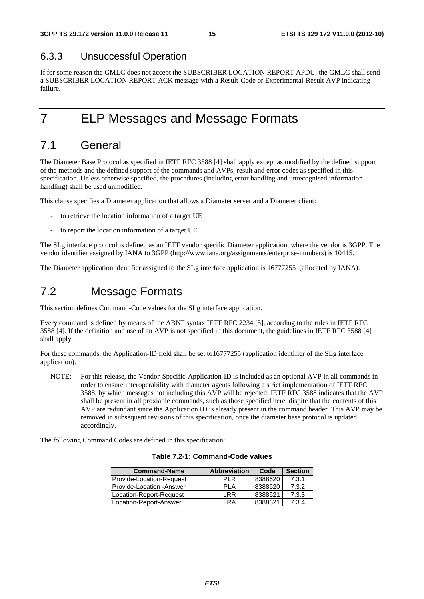#### 6.3.3 Unsuccessful Operation

If for some reason the GMLC does not accept the SUBSCRIBER LOCATION REPORT APDU, the GMLC shall send a SUBSCRIBER LOCATION REPORT ACK message with a Result-Code or Experimental-Result AVP indicating failure.

7 ELP Messages and Message Formats

### 7.1 General

The Diameter Base Protocol as specified in IETF RFC 3588 [4] shall apply except as modified by the defined support of the methods and the defined support of the commands and AVPs, result and error codes as specified in this specification. Unless otherwise specified, the procedures (including error handling and unrecognised information handling) shall be used unmodified.

This clause specifies a Diameter application that allows a Diameter server and a Diameter client:

- to retrieve the location information of a target UE
- to report the location information of a target UE

The SLg interface protocol is defined as an IETF vendor specific Diameter application, where the vendor is 3GPP. The vendor identifier assigned by IANA to 3GPP (http://www.iana.org/assignments/enterprise-numbers) is 10415.

The Diameter application identifier assigned to the SLg interface application is 16777255 (allocated by IANA).

### 7.2 Message Formats

This section defines Command-Code values for the SLg interface application.

Every command is defined by means of the ABNF syntax IETF RFC 2234 [5], according to the rules in IETF RFC 3588 [4]. If the definition and use of an AVP is not specified in this document, the guidelines in IETF RFC 3588 [4] shall apply.

For these commands, the Application-ID field shall be set to16777255 (application identifier of the SLg interface application).

NOTE: For this release, the Vendor-Specific-Application-ID is included as an optional AVP in all commands in order to ensure interoperability with diameter agents following a strict implementation of IETF RFC 3588, by which messages not including this AVP will be rejected. IETF RFC 3588 indicates that the AVP shall be present in all proxiable commands, such as those specified here, dispite that the contents of this AVP are redundant since the Application ID is already present in the command header. This AVP may be removed in subsequent revisions of this specification, once the diameter base protocol is updated accordingly.

The following Command Codes are defined in this specification:

| Table 7.2-1: Command-Code values |  |
|----------------------------------|--|
|                                  |  |

| <b>Command-Name</b>              | <b>Abbreviation</b> | Code    | <b>Section</b> |
|----------------------------------|---------------------|---------|----------------|
| <b>IProvide-Location-Request</b> | PLR                 | 8388620 | 7.3.1          |
| <b>IProvide-Location -Answer</b> | PL A                | 8388620 | 7.3.2          |
| Location-Report-Request          | I RR                | 8388621 | 7.3.3          |
| Location-Report-Answer           | I RA                | 8388621 | 7.3.4          |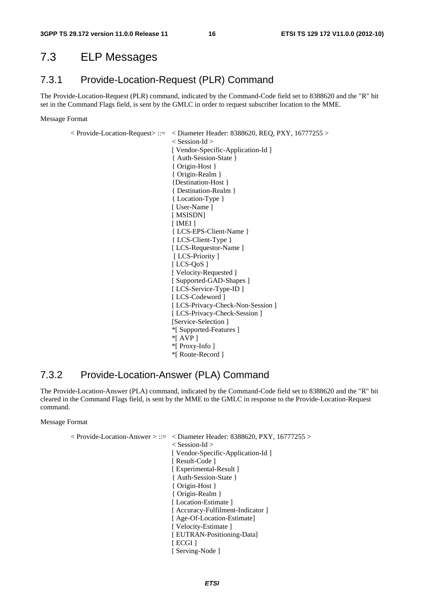#### 7.3 ELP Messages

#### 7.3.1 Provide-Location-Request (PLR) Command

The Provide-Location-Request (PLR) command, indicated by the Command-Code field set to 8388620 and the "R" bit set in the Command Flags field, is sent by the GMLC in order to request subscriber location to the MME.

Message Format

 $\langle$  Provide-Location-Request $> ::= \langle$  Diameter Header: 8388620, REQ, PXY, 16777255  $>$ 

 < Session-Id > [ Vendor-Specific-Application-Id ] { Auth-Session-State } { Origin-Host } { Origin-Realm } {Destination-Host } { Destination-Realm } { Location-Type } [ User-Name ] [ MSISDN] [ IMEI ] { LCS-EPS-Client-Name } { LCS-Client-Type } [ LCS-Requestor-Name ] [ LCS-Priority ] [ LCS-QoS ] [ Velocity-Requested ] [ Supported-GAD-Shapes ] [ LCS-Service-Type-ID ] [ LCS-Codeword ] [ LCS-Privacy-Check-Non-Session ] [ LCS-Privacy-Check-Session ] [Service-Selection ] \*[ Supported-Features ]  $*$ [ AVP ] \*[ Proxy-Info ] \*[ Route-Record ]

#### 7.3.2 Provide-Location-Answer (PLA) Command

The Provide-Location-Answer (PLA) command, indicated by the Command-Code field set to 8388620 and the "R" bit cleared in the Command Flags field, is sent by the MME to the GMLC in response to the Provide-Location-Request command.

Message Format

< Provide-Location-Answer > ::= < Diameter Header: 8388620, PXY, 16777255 > < Session-Id > [ Vendor-Specific-Application-Id ] [ Result-Code ] [ Experimental-Result ] { Auth-Session-State } { Origin-Host } { Origin-Realm } [Location-Estimate] [ Accuracy-Fulfilment-Indicator ] [ Age-Of-Location-Estimate] [ Velocity-Estimate ] [ EUTRAN-Positioning-Data] [ ECGI ] [ Serving-Node ]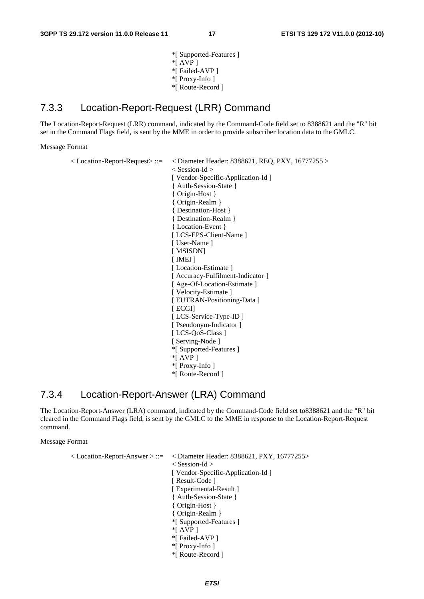\*[ Supported-Features ]  $*$ [ AVP ] \*[ Failed-AVP ] \*[ Proxy-Info ] \*[ Route-Record ]

#### 7.3.3 Location-Report-Request (LRR) Command

The Location-Report-Request (LRR) command, indicated by the Command-Code field set to 8388621 and the "R" bit set in the Command Flags field, is sent by the MME in order to provide subscriber location data to the GMLC.

Message Format

 $<$  Location-Report-Request $> ::= \langle$  Diameter Header: 8388621, REQ, PXY, 16777255  $>$  < Session-Id > [ Vendor-Specific-Application-Id ] { Auth-Session-State } { Origin-Host } { Origin-Realm } { Destination-Host } { Destination-Realm } { Location-Event } [ LCS-EPS-Client-Name ] [ User-Name ] [ MSISDN] [ IMEI ] [ Location-Estimate ] [ Accuracy-Fulfilment-Indicator ] [ Age-Of-Location-Estimate ] [ Velocity-Estimate ] [ EUTRAN-Positioning-Data ] [ ECGI] [ LCS-Service-Type-ID ] [ Pseudonym-Indicator ] [ LCS-OoS-Class ] [ Serving-Node ] \*[ Supported-Features ] \*[ AVP ] \*[ Proxy-Info ] \*[ Route-Record ]

#### 7.3.4 Location-Report-Answer (LRA) Command

The Location-Report-Answer (LRA) command, indicated by the Command-Code field set to8388621 and the "R" bit cleared in the Command Flags field, is sent by the GMLC to the MME in response to the Location-Report-Request command.

Message Format

 $<$  Location-Report-Answer  $> ::= \, <$  Diameter Header: 8388621, PXY, 16777255 $>$  < Session-Id > [ Vendor-Specific-Application-Id ] [ Result-Code ] [ Experimental-Result ] { Auth-Session-State } { Origin-Host } { Origin-Realm } \*[ Supported-Features ]  $*$ [ AVP ] \*[ Failed-AVP ] \*[ Proxy-Info ] \*[ Route-Record ]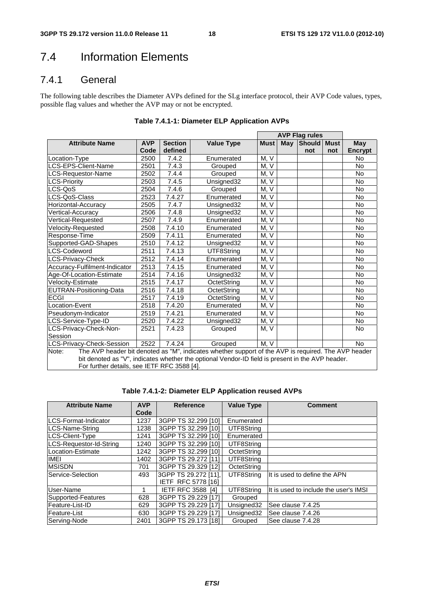### 7.4 Information Elements

#### 7.4.1 General

The following table describes the Diameter AVPs defined for the SLg interface protocol, their AVP Code values, types, possible flag values and whether the AVP may or not be encrypted.

|                                                                                                                                                                                                                                                                 |            |                |                   |             |     | <b>AVP Flag rules</b> |             |            |
|-----------------------------------------------------------------------------------------------------------------------------------------------------------------------------------------------------------------------------------------------------------------|------------|----------------|-------------------|-------------|-----|-----------------------|-------------|------------|
| <b>Attribute Name</b>                                                                                                                                                                                                                                           | <b>AVP</b> | <b>Section</b> | <b>Value Type</b> | <b>Must</b> | May | Should                | <b>Must</b> | <b>May</b> |
|                                                                                                                                                                                                                                                                 | Code       | defined        |                   |             |     | not                   | not         | Encrypt    |
| Location-Type                                                                                                                                                                                                                                                   | 2500       | 7.4.2          | Enumerated        | M, V        |     |                       |             | <b>No</b>  |
| LCS-EPS-Client-Name                                                                                                                                                                                                                                             | 2501       | 7.4.3          | Grouped           | M, V        |     |                       |             | <b>No</b>  |
| LCS-Requestor-Name                                                                                                                                                                                                                                              | 2502       | 7.4.4          | Grouped           | M, V        |     |                       |             | <b>No</b>  |
| <b>LCS-Priority</b>                                                                                                                                                                                                                                             | 2503       | 7.4.5          | Unsigned32        | M, V        |     |                       |             | No         |
| LCS-QoS                                                                                                                                                                                                                                                         | 2504       | 7.4.6          | Grouped           | M, V        |     |                       |             | No         |
| LCS-QoS-Class                                                                                                                                                                                                                                                   | 2523       | 7.4.27         | Enumerated        | M, V        |     |                       |             | <b>No</b>  |
| Horizontal-Accuracy                                                                                                                                                                                                                                             | 2505       | 7.4.7          | Unsigned32        | M, V        |     |                       |             | No         |
| Vertical-Accuracy                                                                                                                                                                                                                                               | 2506       | 7.4.8          | Unsigned32        | M, V        |     |                       |             | <b>No</b>  |
| Vertical-Requested                                                                                                                                                                                                                                              | 2507       | 7.4.9          | Enumerated        | M, V        |     |                       |             | <b>No</b>  |
| Velocity-Requested                                                                                                                                                                                                                                              | 2508       | 7.4.10         | Enumerated        | M, V        |     |                       |             | No         |
| Response-Time                                                                                                                                                                                                                                                   | 2509       | 7.4.11         | Enumerated        | M, V        |     |                       |             | <b>No</b>  |
| Supported-GAD-Shapes                                                                                                                                                                                                                                            | 2510       | 7.4.12         | Unsigned32        | M, V        |     |                       |             | <b>No</b>  |
| LCS-Codeword                                                                                                                                                                                                                                                    | 2511       | 7.4.13         | UTF8String        | M, V        |     |                       |             | No         |
| LCS-Privacy-Check                                                                                                                                                                                                                                               | 2512       | 7.4.14         | Enumerated        | M, V        |     |                       |             | <b>No</b>  |
| Accuracy-Fulfilment-Indicator                                                                                                                                                                                                                                   | 2513       | 7.4.15         | Enumerated        | M, V        |     |                       |             | No         |
| Age-Of-Location-Estimate                                                                                                                                                                                                                                        | 2514       | 7.4.16         | Unsigned32        | M, V        |     |                       |             | <b>No</b>  |
| Velocity-Estimate                                                                                                                                                                                                                                               | 2515       | 7.4.17         | OctetString       | M, V        |     |                       |             | No         |
| EUTRAN-Positioning-Data                                                                                                                                                                                                                                         | 2516       | 7.4.18         | OctetString       | M, V        |     |                       |             | <b>No</b>  |
| <b>ECGI</b>                                                                                                                                                                                                                                                     | 2517       | 7.4.19         | OctetString       | M, V        |     |                       |             | No         |
| Location-Event                                                                                                                                                                                                                                                  | 2518       | 7.4.20         | Enumerated        | M, V        |     |                       |             | <b>No</b>  |
| Pseudonym-Indicator                                                                                                                                                                                                                                             | 2519       | 7.4.21         | Enumerated        | M, V        |     |                       |             | No         |
| LCS-Service-Type-ID                                                                                                                                                                                                                                             | 2520       | 7.4.22         | Unsigned32        | M, V        |     |                       |             | <b>No</b>  |
| LCS-Privacy-Check-Non-                                                                                                                                                                                                                                          | 2521       | 7.4.23         | Grouped           | M, V        |     |                       |             | <b>No</b>  |
| Session                                                                                                                                                                                                                                                         |            |                |                   |             |     |                       |             |            |
| LCS-Privacy-Check-Session                                                                                                                                                                                                                                       | 2522       | 7.4.24         | Grouped           | M, V        |     |                       |             | <b>No</b>  |
| The AVP header bit denoted as "M", indicates whether support of the AVP is required. The AVP header<br>Note:<br>bit denoted as "V", indicates whether the optional Vendor-ID field is present in the AVP header.<br>For further details, see IETF RFC 3588 [4]. |            |                |                   |             |     |                       |             |            |

| Table 7.4.1-1: Diameter ELP Application AVPs |  |  |
|----------------------------------------------|--|--|
|                                              |  |  |

| <b>Attribute Name</b>   | <b>AVP</b><br>Code | <b>Reference</b>          | <b>Value Type</b> | <b>Comment</b>                        |
|-------------------------|--------------------|---------------------------|-------------------|---------------------------------------|
| LCS-Format-Indicator    | 1237               | 3GPP TS 32.299 [10]       | Enumerated        |                                       |
| LCS-Name-String         | 1238               | 3GPP TS 32.299 [10]       | UTF8String        |                                       |
| LCS-Client-Type         | 1241               | 3GPP TS 32,299 [10]       | Enumerated        |                                       |
| LCS-Requestor-Id-String | 1240               | 3GPP TS 32.299 [10]       | UTF8String        |                                       |
| Location-Estimate       | 1242               | 3GPP TS 32.299 [10]       | OctetString       |                                       |
| <b>IMEI</b>             | 1402               | 3GPP TS 29.272 [11]       | UTF8String        |                                       |
| <b>IMSISDN</b>          | 701                | 3GPP TS 29.329 [12]       | OctetString       |                                       |
| Service-Selection       | 493                | 3GPP TS 29.272 [11].      | UTF8String        | It is used to define the APN          |
|                         |                    | <b>IETF RFC 5778 [16]</b> |                   |                                       |
| User-Name               |                    | <b>IETF RFC 3588 [4]</b>  | UTF8String        | It is used to include the user's IMSI |
| Supported-Features      | 628                | 3GPP TS 29.229 [17]       | Grouped           |                                       |
| Feature-List-ID         | 629                | 3GPP TS 29.229 [17]       | Unsigned32        | See clause 7.4.25                     |
| lFeature-List           | 630                | 3GPP TS 29.229 [17]       | Unsigned32        | lSee clause 7.4.26                    |
| Serving-Node            | 2401               | 3GPP TS 29.173 [18]       | Grouped           | See clause 7.4.28                     |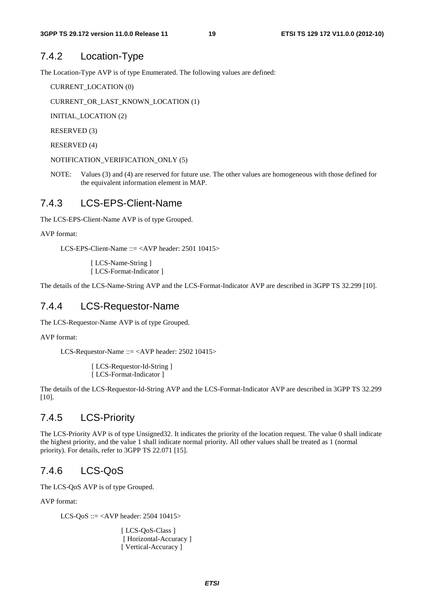#### 7.4.2 Location-Type

The Location-Type AVP is of type Enumerated. The following values are defined:

CURRENT\_LOCATION (0)

CURRENT\_OR\_LAST\_KNOWN\_LOCATION (1)

INITIAL\_LOCATION (2)

RESERVED (3)

```
RESERVED (4)
```
NOTIFICATION\_VERIFICATION\_ONLY (5)

NOTE: Values (3) and (4) are reserved for future use. The other values are homogeneous with those defined for the equivalent information element in MAP.

#### 7.4.3 LCS-EPS-Client-Name

The LCS-EPS-Client-Name AVP is of type Grouped.

AVP format:

LCS-EPS-Client-Name  $\therefore$  = <AVP header: 2501 10415>

[ LCS-Name-String ] [ LCS-Format-Indicator ]

The details of the LCS-Name-String AVP and the LCS-Format-Indicator AVP are described in 3GPP TS 32.299 [10].

#### 7.4.4 LCS-Requestor-Name

The LCS-Requestor-Name AVP is of type Grouped.

AVP format:

LCS-Requestor-Name ::= <AVP header: 2502 10415>

[ LCS-Requestor-Id-String ] [ LCS-Format-Indicator ]

The details of the LCS-Requestor-Id-String AVP and the LCS-Format-Indicator AVP are described in 3GPP TS 32.299 [10].

#### 7.4.5 LCS-Priority

The LCS-Priority AVP is of type Unsigned32. It indicates the priority of the location request. The value 0 shall indicate the highest priority, and the value 1 shall indicate normal priority. All other values shall be treated as 1 (normal priority). For details, refer to 3GPP TS 22.071 [15].

#### 7.4.6 LCS-QoS

The LCS-QoS AVP is of type Grouped.

AVP format:

LCS-QoS ::= <AVP header: 2504 10415>

[ LCS-QoS-Class ] [ Horizontal-Accuracy ] [ Vertical-Accuracy ]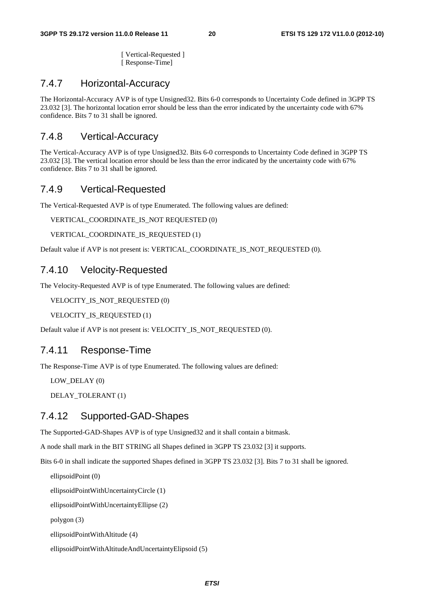[ Vertical-Requested ] [ Response-Time]

#### 7.4.7 Horizontal-Accuracy

The Horizontal-Accuracy AVP is of type Unsigned32. Bits 6-0 corresponds to Uncertainty Code defined in 3GPP TS 23.032 [3]. The horizontal location error should be less than the error indicated by the uncertainty code with 67% confidence. Bits 7 to 31 shall be ignored.

#### 7.4.8 Vertical-Accuracy

The Vertical-Accuracy AVP is of type Unsigned32. Bits 6-0 corresponds to Uncertainty Code defined in 3GPP TS 23.032 [3]. The vertical location error should be less than the error indicated by the uncertainty code with 67% confidence. Bits 7 to 31 shall be ignored.

#### 7.4.9 Vertical-Requested

The Vertical-Requested AVP is of type Enumerated. The following values are defined:

VERTICAL\_COORDINATE\_IS\_NOT REQUESTED (0)

VERTICAL\_COORDINATE\_IS\_REQUESTED (1)

Default value if AVP is not present is: VERTICAL\_COORDINATE\_IS\_NOT\_REQUESTED (0).

#### 7.4.10 Velocity-Requested

The Velocity-Requested AVP is of type Enumerated. The following values are defined:

VELOCITY IS NOT REQUESTED (0)

VELOCITY\_IS\_REQUESTED (1)

Default value if AVP is not present is: VELOCITY\_IS\_NOT\_REQUESTED (0).

#### 7.4.11 Response-Time

The Response-Time AVP is of type Enumerated. The following values are defined:

LOW DELAY (0)

DELAY\_TOLERANT (1)

#### 7.4.12 Supported-GAD-Shapes

The Supported-GAD-Shapes AVP is of type Unsigned32 and it shall contain a bitmask.

A node shall mark in the BIT STRING all Shapes defined in 3GPP TS 23.032 [3] it supports.

Bits 6-0 in shall indicate the supported Shapes defined in 3GPP TS 23.032 [3]. Bits 7 to 31 shall be ignored.

```
ellipsoidPoint (0) 
ellipsoidPointWithUncertaintyCircle (1) 
ellipsoidPointWithUncertaintyEllipse (2) 
polygon (3) 
ellipsoidPointWithAltitude (4) 
ellipsoidPointWithAltitudeAndUncertaintyElipsoid (5)
```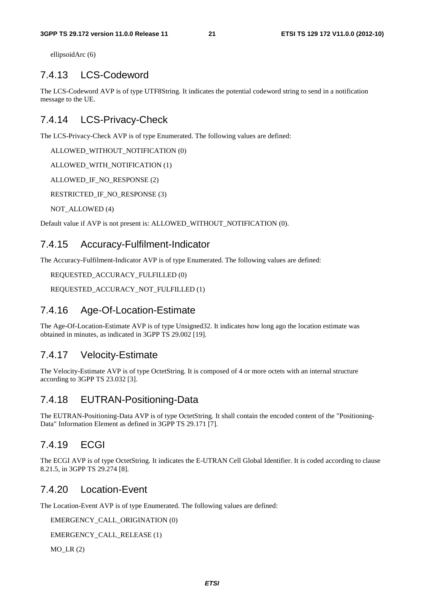ellipsoidArc (6)

#### 7.4.13 LCS-Codeword

The LCS-Codeword AVP is of type UTF8String. It indicates the potential codeword string to send in a notification message to the UE.

#### 7.4.14 LCS-Privacy-Check

The LCS-Privacy-Check AVP is of type Enumerated. The following values are defined:

ALLOWED\_WITHOUT\_NOTIFICATION (0)

ALLOWED\_WITH\_NOTIFICATION (1)

ALLOWED\_IF\_NO\_RESPONSE (2)

RESTRICTED\_IF\_NO\_RESPONSE (3)

NOT ALLOWED (4)

Default value if AVP is not present is: ALLOWED\_WITHOUT\_NOTIFICATION (0).

#### 7.4.15 Accuracy-Fulfilment-Indicator

The Accuracy-Fulfilment-Indicator AVP is of type Enumerated. The following values are defined:

REQUESTED\_ACCURACY\_FULFILLED (0)

REQUESTED\_ACCURACY\_NOT\_FULFILLED (1)

#### 7.4.16 Age-Of-Location-Estimate

The Age-Of-Location-Estimate AVP is of type Unsigned32. It indicates how long ago the location estimate was obtained in minutes, as indicated in 3GPP TS 29.002 [19].

#### 7.4.17 Velocity-Estimate

The Velocity-Estimate AVP is of type OctetString. It is composed of 4 or more octets with an internal structure according to 3GPP TS 23.032 [3].

#### 7.4.18 EUTRAN-Positioning-Data

The EUTRAN-Positioning-Data AVP is of type OctetString. It shall contain the encoded content of the "Positioning-Data" Information Element as defined in 3GPP TS 29.171 [7].

#### 7.4.19 ECGI

The ECGI AVP is of type OctetString. It indicates the E-UTRAN Cell Global Identifier. It is coded according to clause 8.21.5, in 3GPP TS 29.274 [8].

#### 7.4.20 Location-Event

The Location-Event AVP is of type Enumerated. The following values are defined:

EMERGENCY\_CALL\_ORIGINATION (0)

EMERGENCY\_CALL\_RELEASE (1)

 $MO$  LR  $(2)$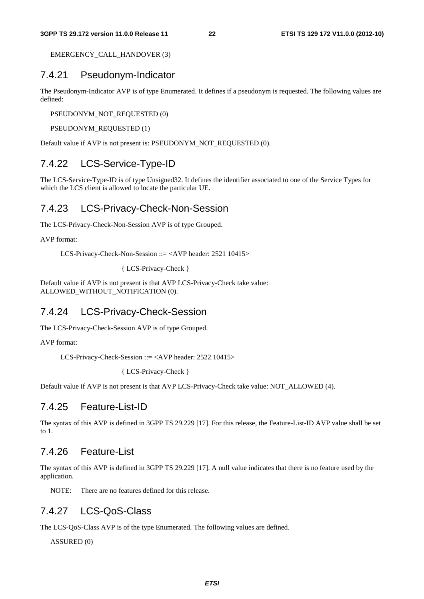EMERGENCY\_CALL\_HANDOVER (3)

#### 7.4.21 Pseudonym-Indicator

The Pseudonym-Indicator AVP is of type Enumerated. It defines if a pseudonym is requested. The following values are defined:

PSEUDONYM\_NOT\_REQUESTED (0)

PSEUDONYM\_REQUESTED (1)

Default value if AVP is not present is: PSEUDONYM\_NOT\_REQUESTED (0).

#### 7.4.22 LCS-Service-Type-ID

The LCS-Service-Type-ID is of type Unsigned32. It defines the identifier associated to one of the Service Types for which the LCS client is allowed to locate the particular UE.

#### 7.4.23 LCS-Privacy-Check-Non-Session

The LCS-Privacy-Check-Non-Session AVP is of type Grouped.

AVP format:

LCS-Privacy-Check-Non-Session ::= <AVP header: 2521 10415>

```
{ LCS-Privacy-Check }
```
Default value if AVP is not present is that AVP LCS-Privacy-Check take value: ALLOWED\_WITHOUT\_NOTIFICATION (0).

#### 7.4.24 LCS-Privacy-Check-Session

The LCS-Privacy-Check-Session AVP is of type Grouped.

AVP format:

LCS-Privacy-Check-Session ::= <AVP header: 2522 10415>

{ LCS-Privacy-Check }

Default value if AVP is not present is that AVP LCS-Privacy-Check take value: NOT\_ALLOWED (4).

#### 7.4.25 Feature-List-ID

The syntax of this AVP is defined in 3GPP TS 29.229 [17]. For this release, the Feature-List-ID AVP value shall be set to 1.

#### 7.4.26 Feature-List

The syntax of this AVP is defined in 3GPP TS 29.229 [17]. A null value indicates that there is no feature used by the application.

NOTE: There are no features defined for this release.

#### 7.4.27 LCS-QoS-Class

The LCS-QoS-Class AVP is of the type Enumerated. The following values are defined.

ASSURED (0)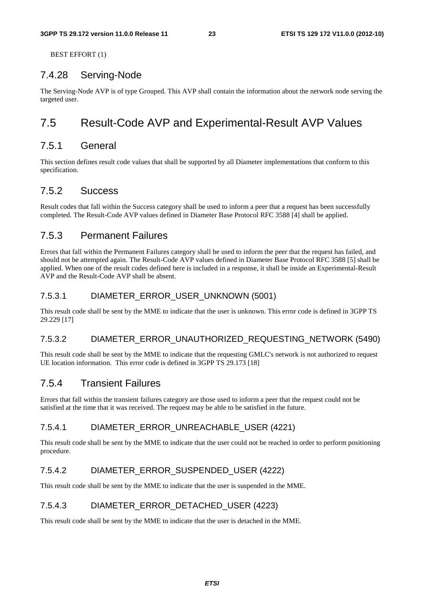BEST EFFORT (1)

#### 7.4.28 Serving-Node

The Serving-Node AVP is of type Grouped. This AVP shall contain the information about the network node serving the targeted user.

### 7.5 Result-Code AVP and Experimental-Result AVP Values

#### 7.5.1 General

This section defines result code values that shall be supported by all Diameter implementations that conform to this specification.

#### 7.5.2 Success

Result codes that fall within the Success category shall be used to inform a peer that a request has been successfully completed. The Result-Code AVP values defined in Diameter Base Protocol RFC 3588 [4] shall be applied.

#### 7.5.3 Permanent Failures

Errors that fall within the Permanent Failures category shall be used to inform the peer that the request has failed, and should not be attempted again. The Result-Code AVP values defined in Diameter Base Protocol RFC 3588 [5] shall be applied. When one of the result codes defined here is included in a response, it shall be inside an Experimental-Result AVP and the Result-Code AVP shall be absent.

#### 7.5.3.1 DIAMETER\_ERROR\_USER\_UNKNOWN (5001)

This result code shall be sent by the MME to indicate that the user is unknown. This error code is defined in 3GPP TS 29.229 [17]

#### 7.5.3.2 DIAMETER\_ERROR\_UNAUTHORIZED\_REQUESTING\_NETWORK (5490)

This result code shall be sent by the MME to indicate that the requesting GMLC's network is not authorized to request UE location information. This error code is defined in 3GPP TS 29.173 [18]

#### 7.5.4 Transient Failures

Errors that fall within the transient failures category are those used to inform a peer that the request could not be satisfied at the time that it was received. The request may be able to be satisfied in the future.

#### 7.5.4.1 DIAMETER\_ERROR\_UNREACHABLE\_USER (4221)

This result code shall be sent by the MME to indicate that the user could not be reached in order to perform positioning procedure.

#### 7.5.4.2 DIAMETER\_ERROR\_SUSPENDED\_USER (4222)

This result code shall be sent by the MME to indicate that the user is suspended in the MME.

#### 7.5.4.3 DIAMETER\_ERROR\_DETACHED\_USER (4223)

This result code shall be sent by the MME to indicate that the user is detached in the MME.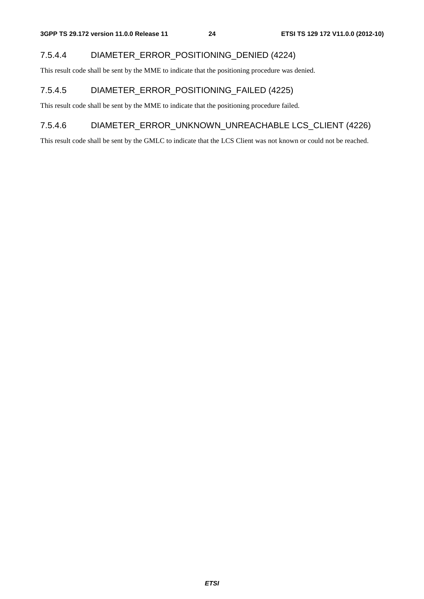#### 7.5.4.4 DIAMETER\_ERROR\_POSITIONING\_DENIED (4224)

This result code shall be sent by the MME to indicate that the positioning procedure was denied.

#### 7.5.4.5 DIAMETER\_ERROR\_POSITIONING\_FAILED (4225)

This result code shall be sent by the MME to indicate that the positioning procedure failed.

#### 7.5.4.6 DIAMETER\_ERROR\_UNKNOWN\_UNREACHABLE LCS\_CLIENT (4226)

This result code shall be sent by the GMLC to indicate that the LCS Client was not known or could not be reached.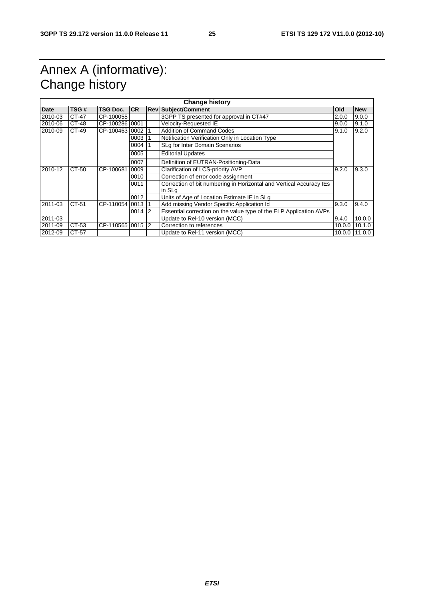### Annex A (informative): Change history

| <b>Change history</b> |       |                  |           |  |                                                                               |            |               |  |
|-----------------------|-------|------------------|-----------|--|-------------------------------------------------------------------------------|------------|---------------|--|
| Date                  | TSG#  | TSG Doc.         | CR        |  | <b>Rev Subject/Comment</b>                                                    | <b>Old</b> | <b>New</b>    |  |
| 2010-03               | CT-47 | CP-100055        |           |  | 3GPP TS presented for approval in CT#47                                       | 2.0.0      | 9.0.0         |  |
| 2010-06               | CT-48 | CP-100286 0001   |           |  | Velocity-Requested IE                                                         | 9.0.0      | 9.1.0         |  |
| 2010-09               | CT-49 | CP-1004631000211 |           |  | <b>Addition of Command Codes</b>                                              | 9.1.0      | 9.2.0         |  |
|                       |       |                  | $0003$ 1  |  | Notification Verification Only in Location Type                               |            |               |  |
|                       |       |                  | 0004      |  | SLg for Inter Domain Scenarios                                                |            |               |  |
|                       |       |                  | 0005      |  | <b>Editorial Updates</b>                                                      |            |               |  |
|                       |       |                  | 0007      |  | Definition of EUTRAN-Positioning-Data                                         |            |               |  |
| 2010-12               | CT-50 | CP-100681        | 0009      |  | Clarification of LCS-priority AVP                                             | 9.2.0      | 9.3.0         |  |
|                       |       |                  | 0010      |  | Correction of error code assignment                                           |            |               |  |
|                       |       |                  | 0011      |  | Correction of bit numbering in Horizontal and Vertical Accuracy IEs<br>in SLg |            |               |  |
|                       |       |                  | 0012      |  | Units of Age of Location Estimate IE in SLg                                   |            |               |  |
| 2011-03               | CT-51 | CP-110054 0013 1 |           |  | Add missing Vendor Specific Application Id                                    | 9.3.0      | 9.4.0         |  |
|                       |       |                  | $0014$  2 |  | Essential correction on the value type of the ELP Application AVPs            |            |               |  |
| 2011-03               |       |                  |           |  | Update to Rel-10 version (MCC)                                                | 9.4.0      | 10.0.0        |  |
| 2011-09               | CT-53 | CP-110565 0015 2 |           |  | Correction to references                                                      | 10.0.0     | 10.1.0        |  |
| 2012-09               | CT-57 |                  |           |  | Update to Rel-11 version (MCC)                                                |            | 10.0.0 11.0.0 |  |